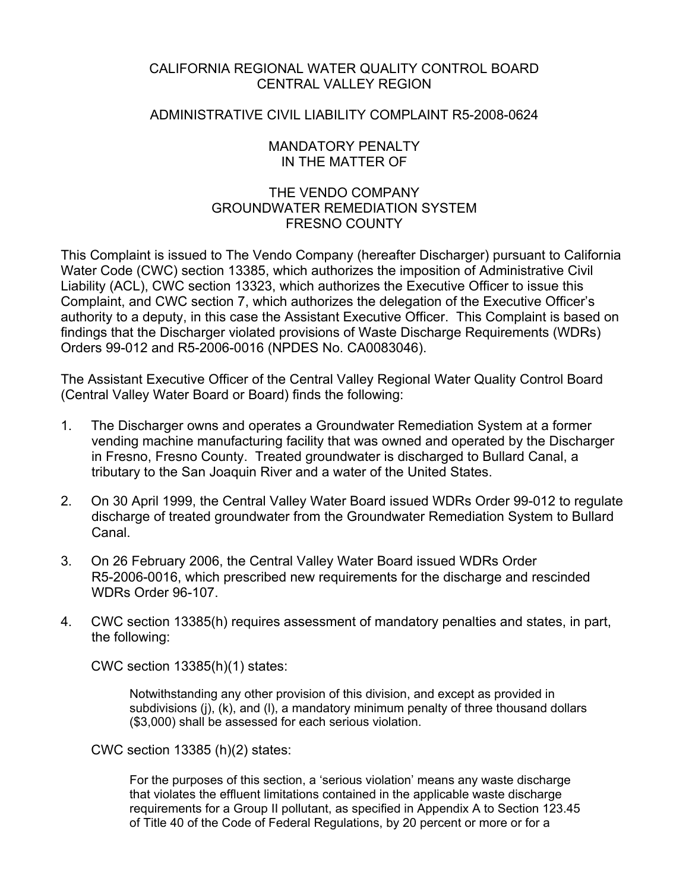# CALIFORNIA REGIONAL WATER QUALITY CONTROL BOARD CENTRAL VALLEY REGION

## ADMINISTRATIVE CIVIL LIABILITY COMPLAINT R5-2008-0624

### MANDATORY PENALTY IN THE MATTER OF

# THE VENDO COMPANY GROUNDWATER REMEDIATION SYSTEM FRESNO COUNTY

This Complaint is issued to The Vendo Company (hereafter Discharger) pursuant to California Water Code (CWC) section 13385, which authorizes the imposition of Administrative Civil Liability (ACL), CWC section 13323, which authorizes the Executive Officer to issue this Complaint, and CWC section 7, which authorizes the delegation of the Executive Officer's authority to a deputy, in this case the Assistant Executive Officer. This Complaint is based on findings that the Discharger violated provisions of Waste Discharge Requirements (WDRs) Orders 99-012 and R5-2006-0016 (NPDES No. CA0083046).

The Assistant Executive Officer of the Central Valley Regional Water Quality Control Board (Central Valley Water Board or Board) finds the following:

- 1. The Discharger owns and operates a Groundwater Remediation System at a former vending machine manufacturing facility that was owned and operated by the Discharger in Fresno, Fresno County. Treated groundwater is discharged to Bullard Canal, a tributary to the San Joaquin River and a water of the United States.
- 2. On 30 April 1999, the Central Valley Water Board issued WDRs Order 99-012 to regulate discharge of treated groundwater from the Groundwater Remediation System to Bullard Canal.
- 3. On 26 February 2006, the Central Valley Water Board issued WDRs Order R5-2006-0016, which prescribed new requirements for the discharge and rescinded WDRs Order 96-107.
- 4. CWC section 13385(h) requires assessment of mandatory penalties and states, in part, the following:

CWC section 13385(h)(1) states:

Notwithstanding any other provision of this division, and except as provided in subdivisions (j), (k), and (l), a mandatory minimum penalty of three thousand dollars (\$3,000) shall be assessed for each serious violation.

CWC section 13385 (h)(2) states:

For the purposes of this section, a 'serious violation' means any waste discharge that violates the effluent limitations contained in the applicable waste discharge requirements for a Group II pollutant, as specified in Appendix A to Section 123.45 of Title 40 of the Code of Federal Regulations, by 20 percent or more or for a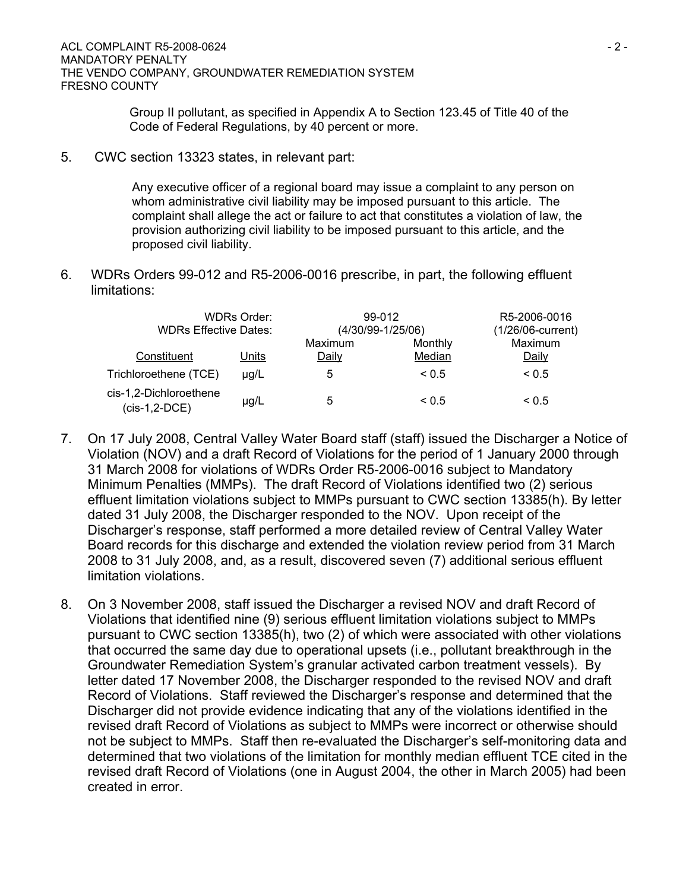Group II pollutant, as specified in Appendix A to Section 123.45 of Title 40 of the Code of Federal Regulations, by 40 percent or more.

5. CWC section 13323 states, in relevant part:

Any executive officer of a regional board may issue a complaint to any person on whom administrative civil liability may be imposed pursuant to this article. The complaint shall allege the act or failure to act that constitutes a violation of law, the provision authorizing civil liability to be imposed pursuant to this article, and the proposed civil liability.

6. WDRs Orders 99-012 and R5-2006-0016 prescribe, in part, the following effluent limitations:

| <b>WDRs Order:</b><br><b>WDRs Effective Dates:</b> |           | 99-012<br>(4/30/99-1/25/06) |                   | R5-2006-0016<br>(1/26/06-current) |
|----------------------------------------------------|-----------|-----------------------------|-------------------|-----------------------------------|
| Constituent                                        | Units     | Maximum<br>Daily            | Monthly<br>Median | Maximum<br>Daily                  |
| Trichloroethene (TCE)                              | $\mu$ g/L | 5                           | $\leq 0.5$        | ${}_{0.5}$                        |
| cis-1,2-Dichloroethene<br>$(cis-1, 2-DCE)$         | $\mu$ g/L | 5                           | ~< 0.5            | ${}_{0.5}$                        |

- 7. On 17 July 2008, Central Valley Water Board staff (staff) issued the Discharger a Notice of Violation (NOV) and a draft Record of Violations for the period of 1 January 2000 through 31 March 2008 for violations of WDRs Order R5-2006-0016 subject to Mandatory Minimum Penalties (MMPs). The draft Record of Violations identified two (2) serious effluent limitation violations subject to MMPs pursuant to CWC section 13385(h). By letter dated 31 July 2008, the Discharger responded to the NOV. Upon receipt of the Discharger's response, staff performed a more detailed review of Central Valley Water Board records for this discharge and extended the violation review period from 31 March 2008 to 31 July 2008, and, as a result, discovered seven (7) additional serious effluent limitation violations.
- 8. On 3 November 2008, staff issued the Discharger a revised NOV and draft Record of Violations that identified nine (9) serious effluent limitation violations subject to MMPs pursuant to CWC section 13385(h), two (2) of which were associated with other violations that occurred the same day due to operational upsets (i.e., pollutant breakthrough in the Groundwater Remediation System's granular activated carbon treatment vessels). By letter dated 17 November 2008, the Discharger responded to the revised NOV and draft Record of Violations. Staff reviewed the Discharger's response and determined that the Discharger did not provide evidence indicating that any of the violations identified in the revised draft Record of Violations as subject to MMPs were incorrect or otherwise should not be subject to MMPs. Staff then re-evaluated the Discharger's self-monitoring data and determined that two violations of the limitation for monthly median effluent TCE cited in the revised draft Record of Violations (one in August 2004, the other in March 2005) had been created in error.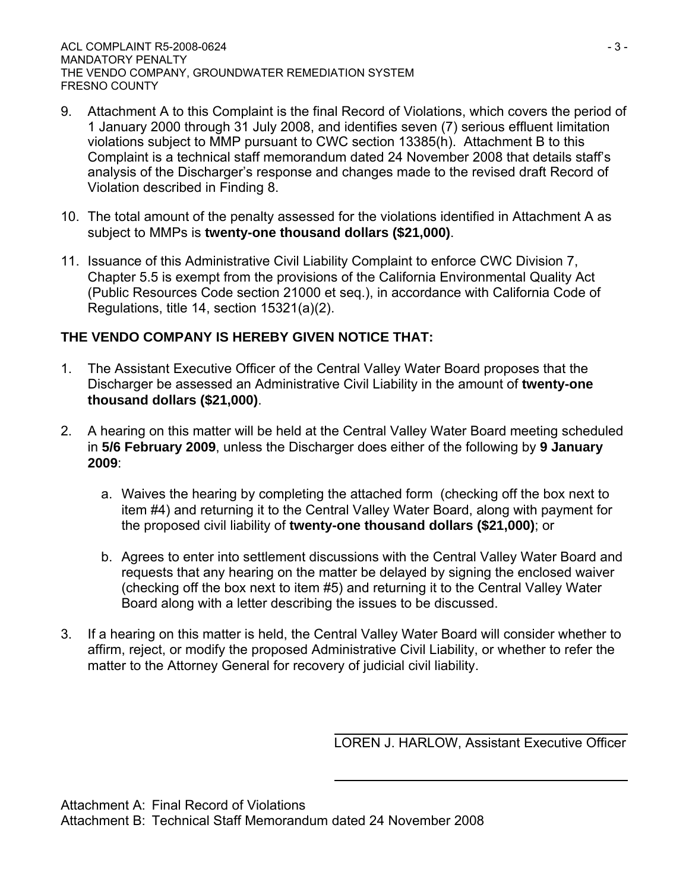- 9. Attachment A to this Complaint is the final Record of Violations, which covers the period of 1 January 2000 through 31 July 2008, and identifies seven (7) serious effluent limitation violations subject to MMP pursuant to CWC section 13385(h). Attachment B to this Complaint is a technical staff memorandum dated 24 November 2008 that details staff's analysis of the Discharger's response and changes made to the revised draft Record of Violation described in Finding 8.
- 10. The total amount of the penalty assessed for the violations identified in Attachment A as subject to MMPs is **twenty-one thousand dollars (\$21,000)**.
- 11. Issuance of this Administrative Civil Liability Complaint to enforce CWC Division 7, Chapter 5.5 is exempt from the provisions of the California Environmental Quality Act (Public Resources Code section 21000 et seq.), in accordance with California Code of Regulations, title 14, section 15321(a)(2).

# **THE VENDO COMPANY IS HEREBY GIVEN NOTICE THAT:**

- 1. The Assistant Executive Officer of the Central Valley Water Board proposes that the Discharger be assessed an Administrative Civil Liability in the amount of **twenty-one thousand dollars (\$21,000)**.
- 2. A hearing on this matter will be held at the Central Valley Water Board meeting scheduled in **5/6 February 2009**, unless the Discharger does either of the following by **9 January 2009**:
	- a. Waives the hearing by completing the attached form (checking off the box next to item #4) and returning it to the Central Valley Water Board, along with payment for the proposed civil liability of **twenty-one thousand dollars (\$21,000)**; or
	- b. Agrees to enter into settlement discussions with the Central Valley Water Board and requests that any hearing on the matter be delayed by signing the enclosed waiver (checking off the box next to item #5) and returning it to the Central Valley Water Board along with a letter describing the issues to be discussed.
- 3. If a hearing on this matter is held, the Central Valley Water Board will consider whether to affirm, reject, or modify the proposed Administrative Civil Liability, or whether to refer the matter to the Attorney General for recovery of judicial civil liability.

LOREN J. HARLOW, Assistant Executive Officer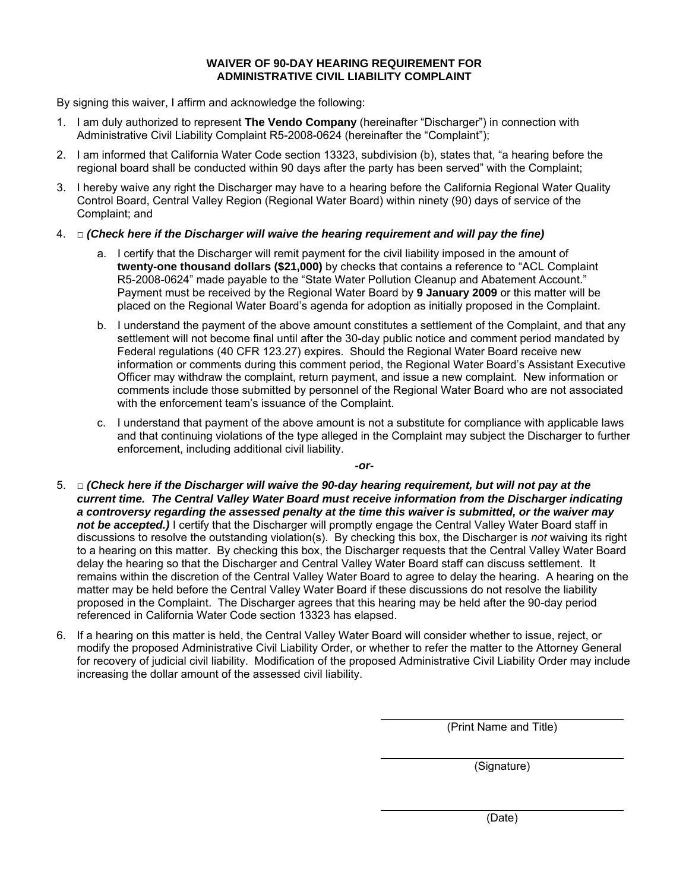#### **WAIVER OF 90-DAY HEARING REQUIREMENT FOR ADMINISTRATIVE CIVIL LIABILITY COMPLAINT**

By signing this waiver, I affirm and acknowledge the following:

- 1. I am duly authorized to represent **The Vendo Company** (hereinafter "Discharger") in connection with Administrative Civil Liability Complaint R5-2008-0624 (hereinafter the "Complaint");
- 2. I am informed that California Water Code section 13323, subdivision (b), states that, "a hearing before the regional board shall be conducted within 90 days after the party has been served" with the Complaint;
- 3. I hereby waive any right the Discharger may have to a hearing before the California Regional Water Quality Control Board, Central Valley Region (Regional Water Board) within ninety (90) days of service of the Complaint; and
- 4. □ *(Check here if the Discharger will waive the hearing requirement and will pay the fine)*
	- a. I certify that the Discharger will remit payment for the civil liability imposed in the amount of **twenty-one thousand dollars (\$21,000)** by checks that contains a reference to "ACL Complaint R5-2008-0624" made payable to the "State Water Pollution Cleanup and Abatement Account." Payment must be received by the Regional Water Board by **9 January 2009** or this matter will be placed on the Regional Water Board's agenda for adoption as initially proposed in the Complaint.
	- b. I understand the payment of the above amount constitutes a settlement of the Complaint, and that any settlement will not become final until after the 30-day public notice and comment period mandated by Federal regulations (40 CFR 123.27) expires. Should the Regional Water Board receive new information or comments during this comment period, the Regional Water Board's Assistant Executive Officer may withdraw the complaint, return payment, and issue a new complaint. New information or comments include those submitted by personnel of the Regional Water Board who are not associated with the enforcement team's issuance of the Complaint.
	- c. I understand that payment of the above amount is not a substitute for compliance with applicable laws and that continuing violations of the type alleged in the Complaint may subject the Discharger to further enforcement, including additional civil liability.

*-or-*

- 5. □ *(Check here if the Discharger will waive the 90-day hearing requirement, but will not pay at the current time. The Central Valley Water Board must receive information from the Discharger indicating a controversy regarding the assessed penalty at the time this waiver is submitted, or the waiver may*  not be accepted.) I certify that the Discharger will promptly engage the Central Valley Water Board staff in discussions to resolve the outstanding violation(s). By checking this box, the Discharger is *not* waiving its right to a hearing on this matter. By checking this box, the Discharger requests that the Central Valley Water Board delay the hearing so that the Discharger and Central Valley Water Board staff can discuss settlement. It remains within the discretion of the Central Valley Water Board to agree to delay the hearing. A hearing on the matter may be held before the Central Valley Water Board if these discussions do not resolve the liability proposed in the Complaint. The Discharger agrees that this hearing may be held after the 90-day period referenced in California Water Code section 13323 has elapsed.
- 6. If a hearing on this matter is held, the Central Valley Water Board will consider whether to issue, reject, or modify the proposed Administrative Civil Liability Order, or whether to refer the matter to the Attorney General for recovery of judicial civil liability. Modification of the proposed Administrative Civil Liability Order may include increasing the dollar amount of the assessed civil liability.

(Print Name and Title)

(Signature)

(Date)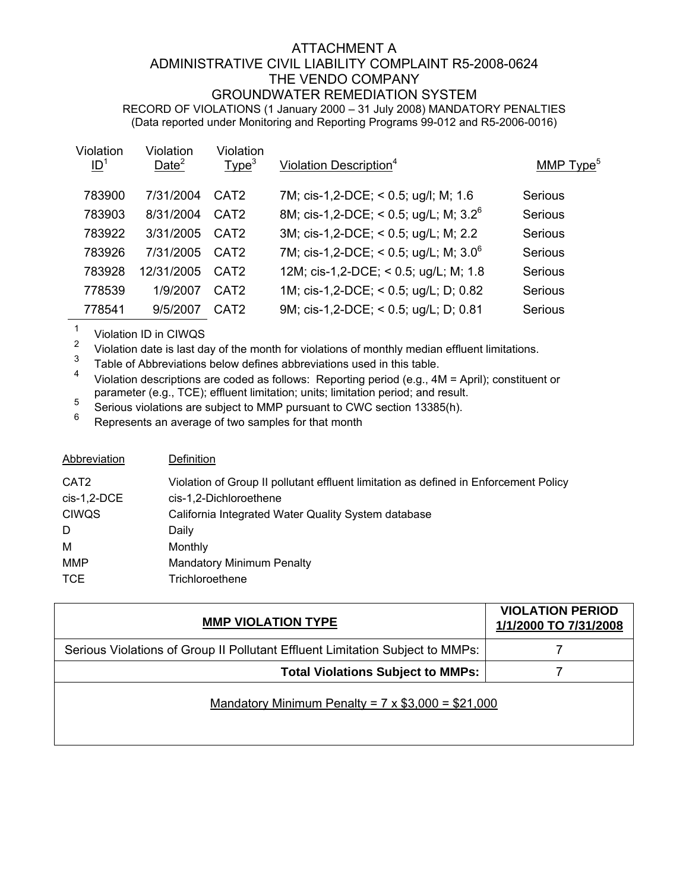### ATTACHMENT A ADMINISTRATIVE CIVIL LIABILITY COMPLAINT R5-2008-0624 THE VENDO COMPANY GROUNDWATER REMEDIATION SYSTEM RECORD OF VIOLATIONS (1 January 2000 – 31 July 2008) MANDATORY PENALTIES (Data reported under Monitoring and Reporting Programs 99-012 and R5-2006-0016)

| Violation<br>ID <sup>1</sup> | Violation<br>Date <sup>2</sup> | Violation<br>Type <sup>3</sup> | Violation Description <sup>4</sup>       | MMP Type <sup>5</sup> |
|------------------------------|--------------------------------|--------------------------------|------------------------------------------|-----------------------|
| 783900                       | 7/31/2004                      | CAT <sub>2</sub>               | 7M; cis-1,2-DCE; < 0.5; ug/l; M; 1.6     | Serious               |
| 783903                       | 8/31/2004                      | CAT <sub>2</sub>               | 8M; cis-1,2-DCE; < 0.5; ug/L; M; $3.2^6$ | Serious               |
| 783922                       | 3/31/2005                      | CAT <sub>2</sub>               | 3M; cis-1,2-DCE; < 0.5; ug/L; M; 2.2     | Serious               |
| 783926                       | 7/31/2005                      | CAT <sub>2</sub>               | 7M; cis-1,2-DCE; < 0.5; ug/L; M; $3.0^6$ | Serious               |
| 783928                       | 12/31/2005                     | CAT <sub>2</sub>               | 12M; cis-1,2-DCE; < 0.5; ug/L; M; 1.8    | Serious               |
| 778539                       | 1/9/2007                       | CAT <sub>2</sub>               | 1M; cis-1,2-DCE; < 0.5; ug/L; D; 0.82    | Serious               |
| 778541                       | 9/5/2007                       | CAT <sub>2</sub>               | 9M; cis-1,2-DCE; < 0.5; ug/L; D; 0.81    | Serious               |

 $\frac{1}{2}$  Violation ID in CIWQS

<sup>2</sup> Violation date is last day of the month for violations of monthly median effluent limitations.<br><sup>3</sup> Table of Abbreviations below defines abbreviations used in this table.

 $3^3$  Table of Abbreviations below defines abbreviations used in this table.

<sup>4</sup> Violation descriptions are coded as follows: Reporting period (e.g., 4M = April); constituent or parameter (e.g., TCE); effluent limitation; units; limitation period; and result.

 $\frac{5}{6}$  Serious violations are subject to MMP pursuant to CWC section 13385(h).

Represents an average of two samples for that month

| Abbreviation                      | Definition                                                                                                     |
|-----------------------------------|----------------------------------------------------------------------------------------------------------------|
| CAT <sub>2</sub><br>$cis-1,2-DCE$ | Violation of Group II pollutant effluent limitation as defined in Enforcement Policy<br>cis-1,2-Dichloroethene |
| <b>CIWQS</b>                      | California Integrated Water Quality System database                                                            |
| D                                 | Daily                                                                                                          |
| М                                 | Monthly                                                                                                        |
| <b>MMP</b>                        | <b>Mandatory Minimum Penalty</b>                                                                               |
| <b>TCE</b>                        | Trichloroethene                                                                                                |

| <b>MMP VIOLATION TYPE</b>                                                     | <b>VIOLATION PERIOD</b><br>1/1/2000 TO 7/31/2008 |
|-------------------------------------------------------------------------------|--------------------------------------------------|
| Serious Violations of Group II Pollutant Effluent Limitation Subject to MMPs: |                                                  |
| <b>Total Violations Subject to MMPs:</b>                                      |                                                  |
| Mandatory Minimum Penalty = $7 \times $3,000 = $21,000$                       |                                                  |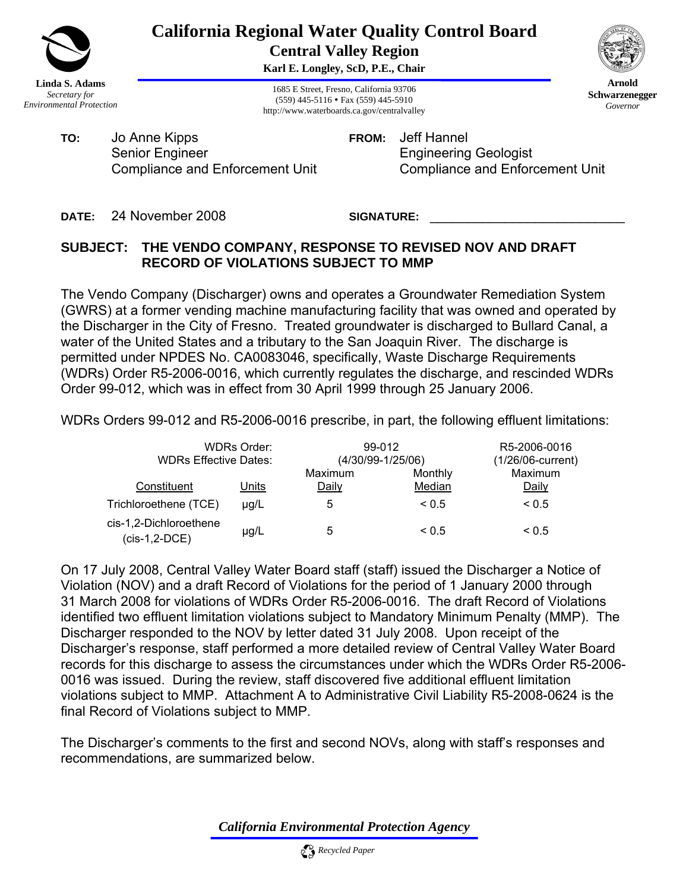

# **California Regional Water Quality Control Board Central Valley Region**

**Karl E. Longley, ScD, P.E., Chair** 

1685 E Street, Fresno, California 93706 (559) 445-5116 • Fax (559) 445-5910 http://www.waterboards.ca.gov/centralvalley



**FROM:** Jeff Hannel Engineering Geologist Compliance and Enforcement Unit

**DATE:** 24 November 2008

SIGNATURE:

# **SUBJECT: THE VENDO COMPANY, RESPONSE TO REVISED NOV AND DRAFT RECORD OF VIOLATIONS SUBJECT TO MMP**

The Vendo Company (Discharger) owns and operates a Groundwater Remediation System (GWRS) at a former vending machine manufacturing facility that was owned and operated by the Discharger in the City of Fresno. Treated groundwater is discharged to Bullard Canal, a water of the United States and a tributary to the San Joaquin River. The discharge is permitted under NPDES No. CA0083046, specifically, Waste Discharge Requirements (WDRs) Order R5-2006-0016, which currently regulates the discharge, and rescinded WDRs Order 99-012, which was in effect from 30 April 1999 through 25 January 2006.

WDRs Orders 99-012 and R5-2006-0016 prescribe, in part, the following effluent limitations:

| WDRs Order:<br><b>WDRs Effective Dates:</b> |           | 99-012<br>(4/30/99-1/25/06) |                   | R5-2006-0016<br>(1/26/06-current) |
|---------------------------------------------|-----------|-----------------------------|-------------------|-----------------------------------|
| Constituent                                 | Units     | Maximum<br>Daily            | Monthly<br>Median | Maximum<br>Daily                  |
| Trichloroethene (TCE)                       | $\mu q/L$ | 5                           | ${}_{0.5}$        | ${}_{0.5}$                        |
| cis-1,2-Dichloroethene<br>(cis-1,2-DCE)     | $\mu$ g/L | 5                           | ${}_{0.5}$        | ${}_{0.5}$                        |

On 17 July 2008, Central Valley Water Board staff (staff) issued the Discharger a Notice of Violation (NOV) and a draft Record of Violations for the period of 1 January 2000 through 31 March 2008 for violations of WDRs Order R5-2006-0016. The draft Record of Violations identified two effluent limitation violations subject to Mandatory Minimum Penalty (MMP). The Discharger responded to the NOV by letter dated 31 July 2008. Upon receipt of the Discharger's response, staff performed a more detailed review of Central Valley Water Board records for this discharge to assess the circumstances under which the WDRs Order R5-2006- 0016 was issued. During the review, staff discovered five additional effluent limitation violations subject to MMP. Attachment A to Administrative Civil Liability R5-2008-0624 is the final Record of Violations subject to MMP.

The Discharger's comments to the first and second NOVs, along with staff's responses and recommendations, are summarized below.

*California Environmental Protection Agency*





**Arnold Schwarzenegger** *Governor*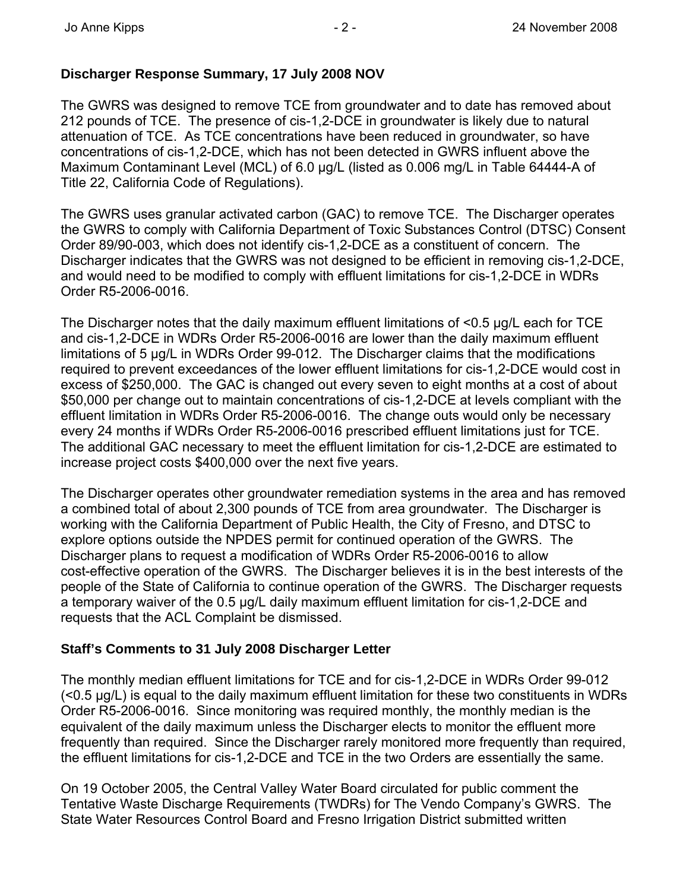# **Discharger Response Summary, 17 July 2008 NOV**

The GWRS was designed to remove TCE from groundwater and to date has removed about 212 pounds of TCE. The presence of cis-1,2-DCE in groundwater is likely due to natural attenuation of TCE. As TCE concentrations have been reduced in groundwater, so have concentrations of cis-1,2-DCE, which has not been detected in GWRS influent above the Maximum Contaminant Level (MCL) of 6.0 μg/L (listed as 0.006 mg/L in Table 64444-A of Title 22, California Code of Regulations).

The GWRS uses granular activated carbon (GAC) to remove TCE. The Discharger operates the GWRS to comply with California Department of Toxic Substances Control (DTSC) Consent Order 89/90-003, which does not identify cis-1,2-DCE as a constituent of concern. The Discharger indicates that the GWRS was not designed to be efficient in removing cis-1,2-DCE, and would need to be modified to comply with effluent limitations for cis-1,2-DCE in WDRs Order R5-2006-0016.

The Discharger notes that the daily maximum effluent limitations of <0.5 ug/L each for TCE and cis-1,2-DCE in WDRs Order R5-2006-0016 are lower than the daily maximum effluent limitations of 5 μg/L in WDRs Order 99-012. The Discharger claims that the modifications required to prevent exceedances of the lower effluent limitations for cis-1,2-DCE would cost in excess of \$250,000. The GAC is changed out every seven to eight months at a cost of about \$50,000 per change out to maintain concentrations of cis-1,2-DCE at levels compliant with the effluent limitation in WDRs Order R5-2006-0016. The change outs would only be necessary every 24 months if WDRs Order R5-2006-0016 prescribed effluent limitations just for TCE. The additional GAC necessary to meet the effluent limitation for cis-1,2-DCE are estimated to increase project costs \$400,000 over the next five years.

The Discharger operates other groundwater remediation systems in the area and has removed a combined total of about 2,300 pounds of TCE from area groundwater. The Discharger is working with the California Department of Public Health, the City of Fresno, and DTSC to explore options outside the NPDES permit for continued operation of the GWRS. The Discharger plans to request a modification of WDRs Order R5-2006-0016 to allow cost-effective operation of the GWRS. The Discharger believes it is in the best interests of the people of the State of California to continue operation of the GWRS. The Discharger requests a temporary waiver of the 0.5 μg/L daily maximum effluent limitation for cis-1,2-DCE and requests that the ACL Complaint be dismissed.

### **Staff's Comments to 31 July 2008 Discharger Letter**

The monthly median effluent limitations for TCE and for cis-1,2-DCE in WDRs Order 99-012  $\approx$  0.5  $\mu$ g/L) is equal to the daily maximum effluent limitation for these two constituents in WDRs Order R5-2006-0016. Since monitoring was required monthly, the monthly median is the equivalent of the daily maximum unless the Discharger elects to monitor the effluent more frequently than required. Since the Discharger rarely monitored more frequently than required, the effluent limitations for cis-1,2-DCE and TCE in the two Orders are essentially the same.

On 19 October 2005, the Central Valley Water Board circulated for public comment the Tentative Waste Discharge Requirements (TWDRs) for The Vendo Company's GWRS. The State Water Resources Control Board and Fresno Irrigation District submitted written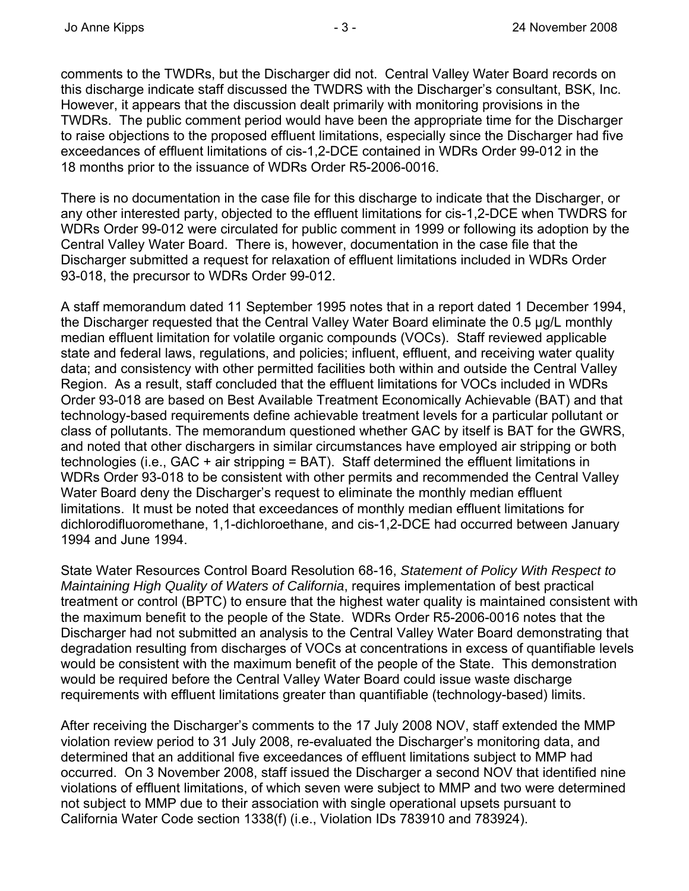comments to the TWDRs, but the Discharger did not. Central Valley Water Board records on this discharge indicate staff discussed the TWDRS with the Discharger's consultant, BSK, Inc. However, it appears that the discussion dealt primarily with monitoring provisions in the TWDRs. The public comment period would have been the appropriate time for the Discharger to raise objections to the proposed effluent limitations, especially since the Discharger had five exceedances of effluent limitations of cis-1,2-DCE contained in WDRs Order 99-012 in the 18 months prior to the issuance of WDRs Order R5-2006-0016.

There is no documentation in the case file for this discharge to indicate that the Discharger, or any other interested party, objected to the effluent limitations for cis-1,2-DCE when TWDRS for WDRs Order 99-012 were circulated for public comment in 1999 or following its adoption by the Central Valley Water Board. There is, however, documentation in the case file that the Discharger submitted a request for relaxation of effluent limitations included in WDRs Order 93-018, the precursor to WDRs Order 99-012.

A staff memorandum dated 11 September 1995 notes that in a report dated 1 December 1994, the Discharger requested that the Central Valley Water Board eliminate the 0.5 μg/L monthly median effluent limitation for volatile organic compounds (VOCs). Staff reviewed applicable state and federal laws, regulations, and policies; influent, effluent, and receiving water quality data; and consistency with other permitted facilities both within and outside the Central Valley Region. As a result, staff concluded that the effluent limitations for VOCs included in WDRs Order 93-018 are based on Best Available Treatment Economically Achievable (BAT) and that technology-based requirements define achievable treatment levels for a particular pollutant or class of pollutants. The memorandum questioned whether GAC by itself is BAT for the GWRS, and noted that other dischargers in similar circumstances have employed air stripping or both technologies (i.e., GAC + air stripping = BAT). Staff determined the effluent limitations in WDRs Order 93-018 to be consistent with other permits and recommended the Central Valley Water Board deny the Discharger's request to eliminate the monthly median effluent limitations. It must be noted that exceedances of monthly median effluent limitations for dichlorodifluoromethane, 1,1-dichloroethane, and cis-1,2-DCE had occurred between January 1994 and June 1994.

State Water Resources Control Board Resolution 68-16, *Statement of Policy With Respect to Maintaining High Quality of Waters of California*, requires implementation of best practical treatment or control (BPTC) to ensure that the highest water quality is maintained consistent with the maximum benefit to the people of the State. WDRs Order R5-2006-0016 notes that the Discharger had not submitted an analysis to the Central Valley Water Board demonstrating that degradation resulting from discharges of VOCs at concentrations in excess of quantifiable levels would be consistent with the maximum benefit of the people of the State. This demonstration would be required before the Central Valley Water Board could issue waste discharge requirements with effluent limitations greater than quantifiable (technology-based) limits.

After receiving the Discharger's comments to the 17 July 2008 NOV, staff extended the MMP violation review period to 31 July 2008, re-evaluated the Discharger's monitoring data, and determined that an additional five exceedances of effluent limitations subject to MMP had occurred. On 3 November 2008, staff issued the Discharger a second NOV that identified nine violations of effluent limitations, of which seven were subject to MMP and two were determined not subject to MMP due to their association with single operational upsets pursuant to California Water Code section 1338(f) (i.e., Violation IDs 783910 and 783924).